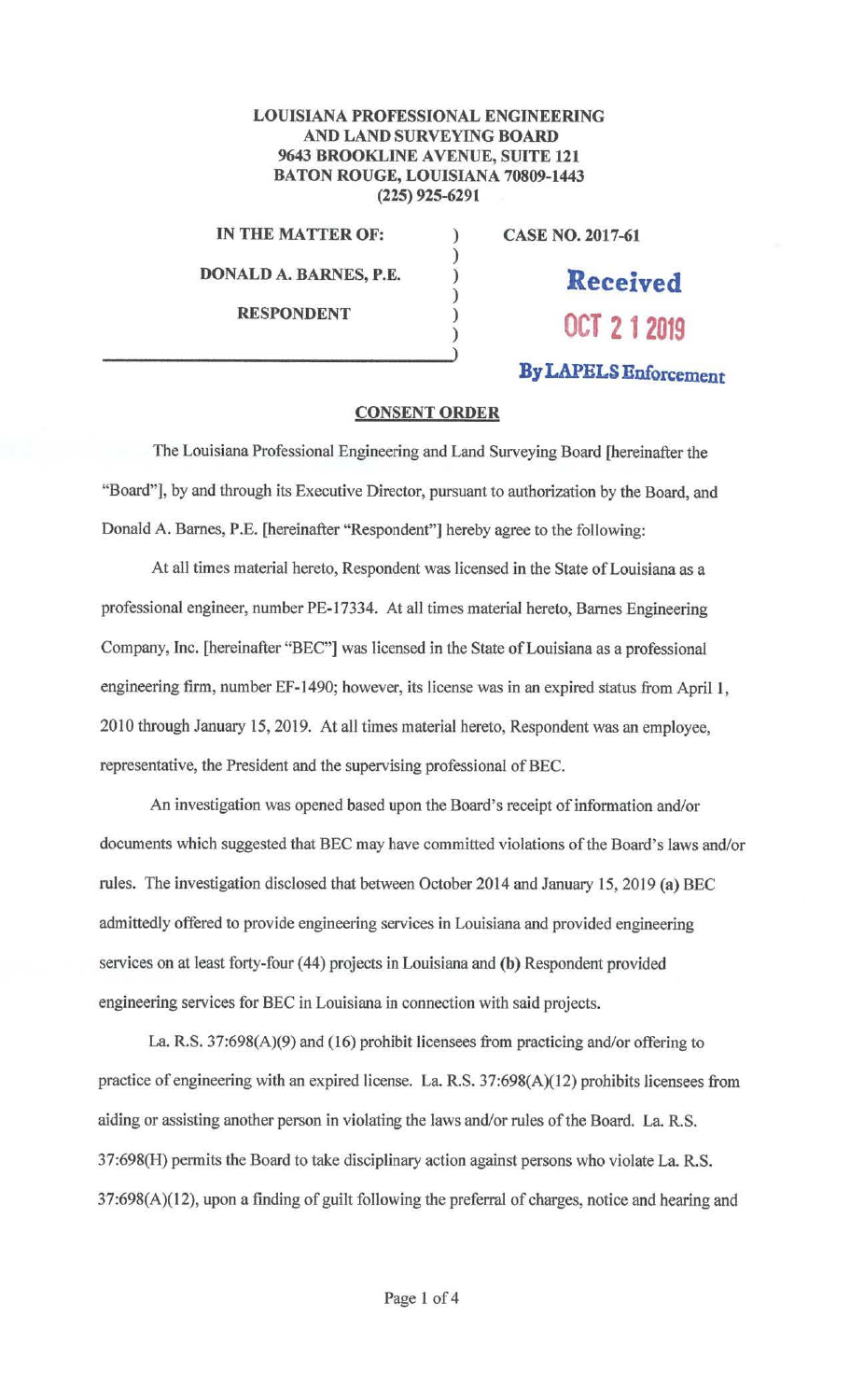## LOUISIANA PROFESSIONAL ENGINEERING AND LAND SURVEYING BOARD 9643 BROOKLINE AVENUE, SUITE 121 BATON ROUGE, LOUISIANA 70809-1443 (225) 925-6291

) ) ) ) ) )

**IN THE MATTER OF:** 

**DONALD A. BARNES, P.E.** 

**RESPONDENT** 

**CASE NO. 2017-61** 

**Received OCT 212019** 

**By LAPELS Enforcement** 

## **CONSENT ORDER**

The Louisiana Professional Engineering and Land Surveying Board [hereinafter the "Board"], by and through its Executive Director, pursuant to authorization by the Board, and Donald A. Barnes, P.E. [hereinafter "Respondent"] hereby agree to the following:

At all times material hereto, Respondent was licensed *in* the State of Louisiana as a professional engineer, number PE-17334. At all times material hereto, Barnes Engineering Company, Inc. [hereinafter "BEC"] was licensed in the State of Louisiana as a professional engineering firm, number EF-1490; however, its license was in an expired status from April I, 2010 through January 15, 2019. At all times material hereto, Respondent was an employee, representative, the President and the supervising professional of BEC.

An investigation was opened based upon the Board's receipt of information and/or documents which suggested that BEC may have committed violations of the Board's laws and/or rules. The investigation disclosed that between October 2014 and January 15, 2019 **(a)** BEC admittedly offered to provide engineering services in Louisiana and provided engineering services on at least forty-four (44) projects in Louisiana and (b) Respondent provided engineering services for BEC in Louisiana in connection with said projects.

La. R.S. 37:698(A)(9) and (16) prohibit licensees from practicing and/or offering to practice of engineering with an expired license. La. R.S. 37:698(A)(l2) prohibits licensees from aiding or assisting another person in violating the laws and/or rules of the Board. La. R.S. 37:698(H) permits the Board to take disciplinary action against persons who violate La. R.S. 37:698(A)(l 2), upon a finding of guilt following the preferral of charges, notice and hearing and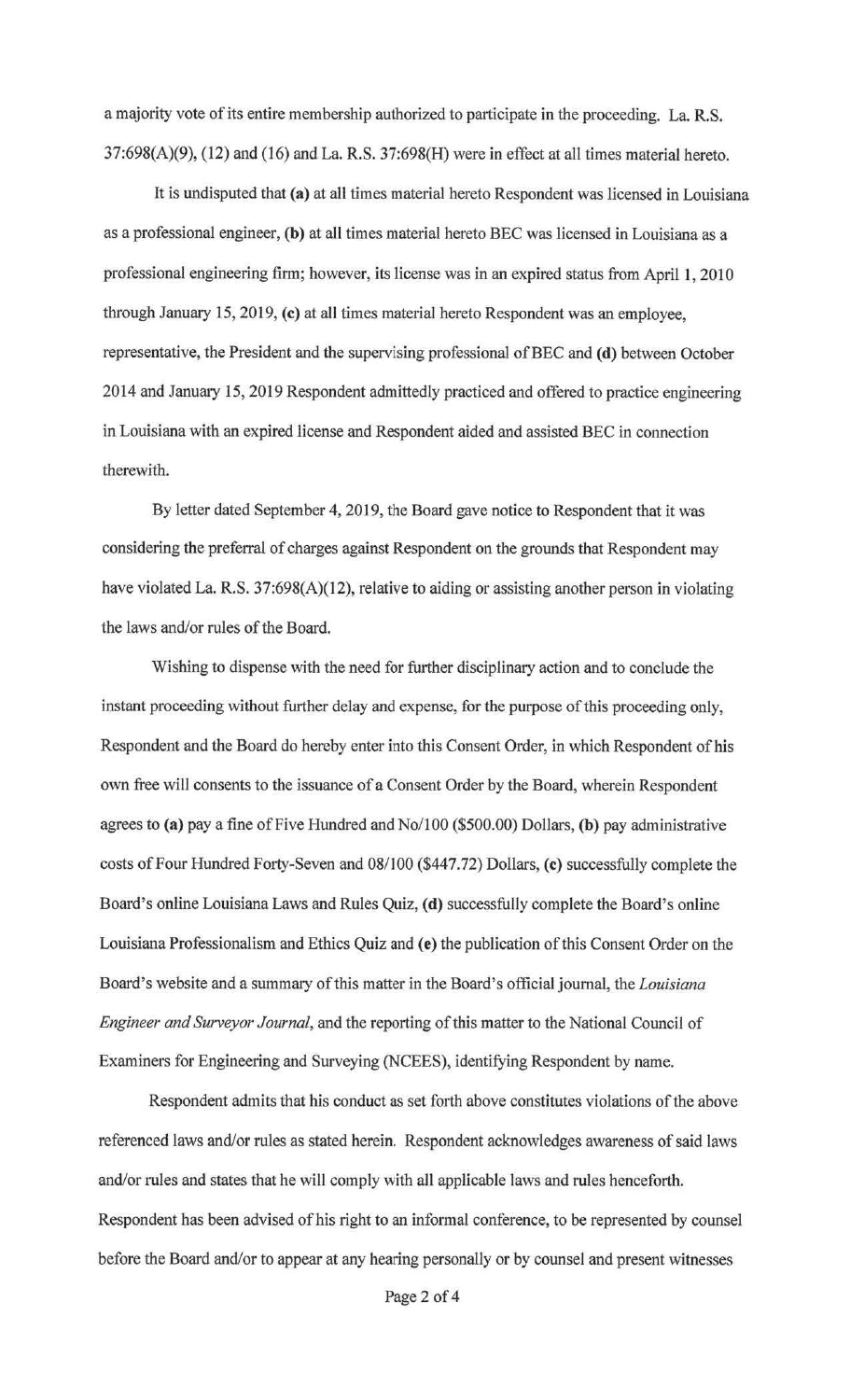a majority vote of its entire membership authorized to participate in the proceeding. La. R.S. 37:698(A)(9), (12) and (16) and La. R.S. 37:698(H) were in effect at all times material hereto.

It is undisputed that **(a)** at all times material hereto Respondent was licensed in Louisiana as a professional engineer, **(b)** at all times material hereto BEC was licensed in Louisiana as a professional engineering finn; however, its license was in an expired status from April 1, 2010 through January 15, 2019, **(c)** at all times material hereto Respondent was an employee, representative, the President and the supervising professional ofBEC and **(d)** between October 2014 and January 15, 2019 Respondent admittedly practiced and offered to practice engineering in Louisiana with an expired license and Respondent aided and assisted BEC in connection therewith.

By letter dated September 4, 2019, the Board gave notice to Respondent that it was considering the preferral of charges against Respondent on the grounds that Respondent may have violated La. R.S. 37:698(A)(12), relative to aiding or assisting another person in violating the laws and/or rules of the Board.

Wishing to dispense with the need for further disciplinary action and to conclude the instant proceeding without further delay and expense, for the purpose of this proceeding only, Respondent and the Board do hereby enter into this Consent Order, in which Respondent of his own free will consents to the issuance of a Consent Order by the Board, wherein Respondent agrees to **(a)** pay a fine of Five Hundred and No/100 (\$500.00) Dollars, **(b)** pay administrative costs of Four Hundred Forty-Seven and 08/100 (\$447.72) Dollars, **(c)** successfully complete the Board's online Louisiana Laws and Rules Quiz, **(d)** successfully complete the Board's online Louisiana Professionalism and Ethics Quiz and **(e)** the publication of this Consent Order on the Board's website and a summary of this matter in the Board's official journal, the *Louisiana Engineer and Surveyor Journal,* and the reporting of this matter to the National Council of Examiners for Engineering and Surveying (NCEES), identifying Respondent by name.

Respondent admits that his conduct as set forth above constitutes violations of the above referenced laws and/or rules as stated herein. Respondent acknowledges awareness of said laws and/or rules and states that he will comply with all applicable laws and rules henceforth. Respondent has been advised of his right to an informal conference, to be represented by counsel before the Board and/or to appear at any hearing personally or by counsel and present witnesses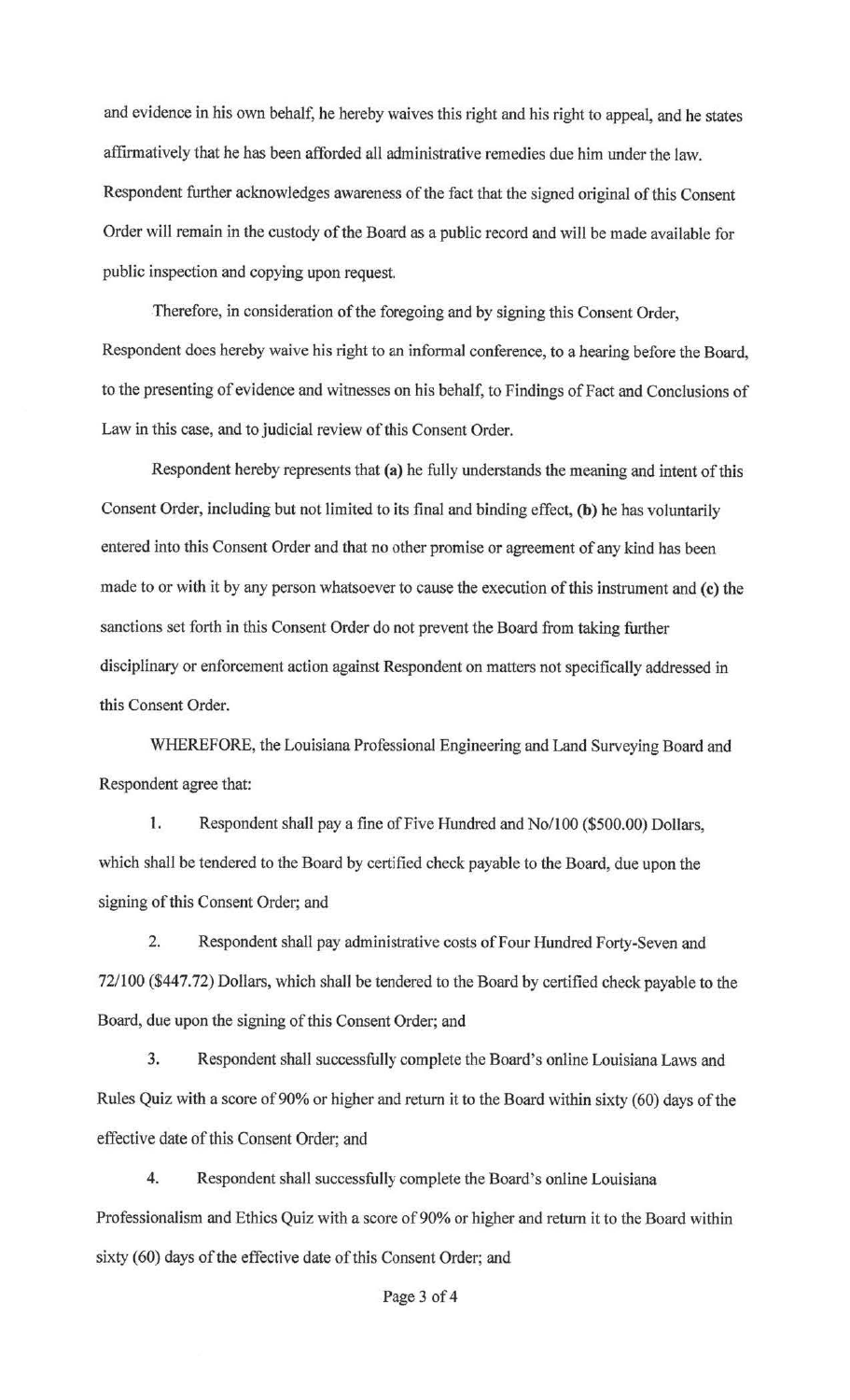and evidence in his own behalf, he hereby waives this right and his right to appeal, and he states affirmatively that he has been afforded all administrative remedies due him under the law. Respondent further acknowledges awareness of the fact that the signed original of this Consent Order will remain in the custody of the Board as a public record and wiJl be made available for public inspection and copying upon request.

Therefore, in consideration of the foregoing and by signing this Consent Order, Respondent does hereby waive his right to an informal conference, to a hearing before the Board, to the presenting of evidence and witnesses on his behalf, to Findings of Fact and Conclusions of Law in this case, and to judicial review of this Consent Order.

Respondent hereby represents that (a) he fully understands the meaning and intent of this Consent Order, including but not limited to its final and binding effect, (b) he has voluntarily entered into this Consent Order and that no other promise or agreement of any kind has been made to or with it by any person whatsoever to cause the execution of this instrument and (c) the sanctions set forth in this Consent Order do not prevent the Board from taking further disciplinary or enforcement action against Respondent on matters not specifically addressed in this Consent Order.

WHEREFORE, the Louisiana Professional Engineering and Land Surveying Board and Respondent agree that:

1. Respondent shall pay a fine of Five Hundred and No/100 (\$500.00) Dollars, which shall be tendered to the Board by certified check payable to the Board, due upon the signing of this Consent Order; and

2. Respondent shall pay administrative costs of Four Hundred Forty-Seven and 72/100 (\$447.72) Dollars, which shall be tendered to the Board by certified check payable to the Board, due upon the signing of this Consent Order; and

3. Respondent shall successfully complete the Board's online Louisiana Laws and Rules Quiz with a score of 90% or higher and return it to the Board within sixty (60) days of the effective date of this Consent Order; and

4. Respondent shall successfully complete the Board's online Louisiana Professionalism and Ethics Quiz with a score of 90% or higher and return it to the Board within sixty (60) days of the effective date of this Consent Order; and

Page 3 of 4